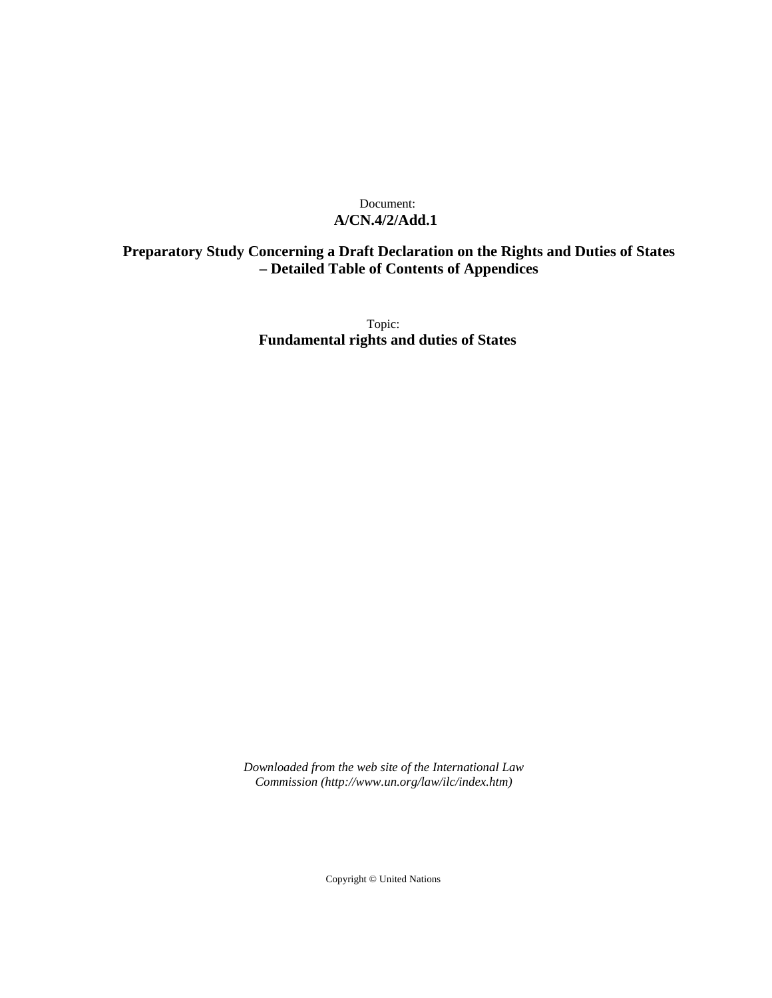#### Document: **A/CN.4/2/Add.1**

## **Preparatory Study Concerning a Draft Declaration on the Rights and Duties of States – Detailed Table of Contents of Appendices**

Topic: **Fundamental rights and duties of States**

*Downloaded from the web site of the International Law Commission (http://www.un.org/law/ilc/index.htm)*

Copyright © United Nations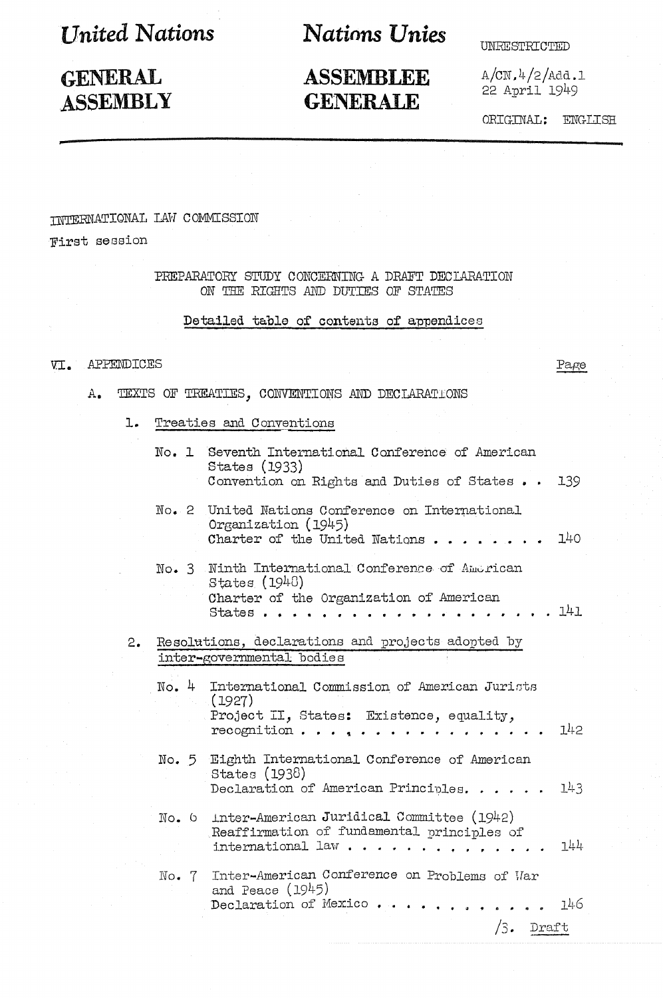**I** Inited Nations

## **GENERAL ASSEMBLY**

# **Nations Unies**

## **ASSEMBLEE GENERALE**

**UNRESTRICTED** 

 $A/CN.4/2/Add.1$ 22 April 1949

ORIGINAL: ENGLISH

### **INTERNATIONAL IAW COMMISSION**

**Tirst session** 

PREPARATORY STUDY CONCERNING A DRAFT DECLARATION ON THE RIGHTS AND DUTIES OF STATES

#### Detailed table of contents of appendices

#### VI. APPENDICES

Page

- TEXTS OF TREATIES, CONVENTIONS AND DECLARATIONS  $A_{\bullet}$ 
	- Treaties and Conventions  $\mathbf{L}$ .

|    |       | No. 1 Seventh International Conference of American<br>States (1933)<br>Convention on Rights and Duties of States<br>139         |
|----|-------|---------------------------------------------------------------------------------------------------------------------------------|
|    |       | No. 2 United Nations Conference on International<br>Organization (1945)<br>140<br>Charter of the United Nations                 |
|    |       | No. 3 Ninth International Conference of American<br>States (1948)<br>Charter of the Organization of American<br>141<br>States.  |
| 2. |       | Resolutions, declarations and projects adopted by<br>inter-governmental bodies                                                  |
|    |       | No. 4 International Commission of American Jurists<br>(1927)<br>Project II, States: Existence, equality,<br>142<br>recognition. |
|    |       | No. 5 Eighth International Conference of American<br>States (1938)<br>143<br>Declaration of American Principles.                |
|    |       | No. 6 Inter-American Juridical Committee (1942)<br>Reaffirmation of fundamental principles of<br>744<br>international law.      |
|    | No. 7 | Inter-American Conference on Problems of War<br>and Peace $(1945)$<br>146<br>Declaration of Mexico<br>΄3.<br>Draft              |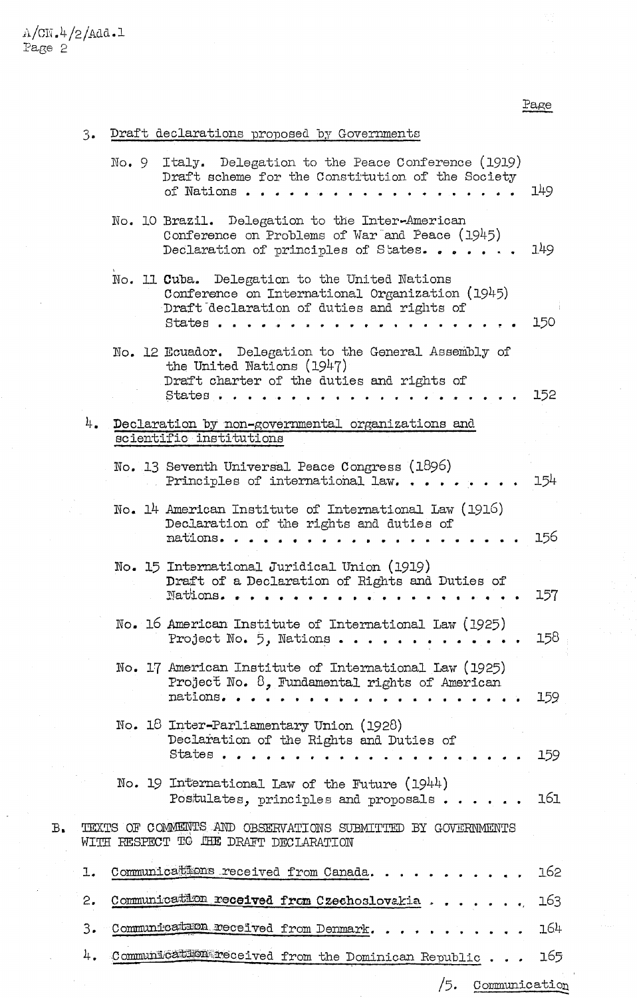Page

/5. Communication

| 3. | Draft declarations proposed by Governments |  |  |
|----|--------------------------------------------|--|--|
|    |                                            |  |  |

|    |    | No.9 | Italy. Delegation to the Peace Conference (1919)<br>Draft scheme for the Constitution of the Society<br>of Nations                                      | 149 |
|----|----|------|---------------------------------------------------------------------------------------------------------------------------------------------------------|-----|
|    |    |      | No. 10 Brazil. Delegation to the Inter-American<br>Conference on Problems of War and Peace (1945)<br>Declaration of principles of States                | 149 |
|    |    |      | No. 11 Cuba. Delegation to the United Nations<br>Conference on International Organization (1945)<br>Draft declaration of duties and rights of<br>States | 150 |
|    |    |      | No. 12 Ecuador. Delegation to the General Assembly of<br>the United Nations (1947)<br>Draft charter of the duties and rights of<br>States.              | 152 |
|    | 4. |      | Declaration by non-governmental organizations and<br>scientific institutions                                                                            |     |
|    |    |      | No. 13 Seventh Universal Peace Congress (1896)<br>Principles of international law                                                                       | 154 |
|    |    |      | No. 14 American Institute of International Law (1916)<br>Declaration of the rights and duties of<br>nations                                             | 156 |
|    |    |      | No. 15 International Juridical Union (1919)<br>Draft of a Declaration of Rights and Duties of<br>Nations                                                | 157 |
|    |    |      | No. 16 American Institute of International Law (1925)<br>Project No. 5, Nations.                                                                        | 158 |
|    |    |      | No. 17 American Institute of International Law (1925)<br>Project No. 8, Fundamental rights of American<br>nations                                       | 159 |
|    |    |      | No. 18 Inter-Parliamentary Union (1928)<br>Declaration of the Rights and Duties of<br>States.                                                           | 159 |
|    |    |      | No. 19 International Law of the Future (1944)<br>Postulates, principles and proposals                                                                   | 161 |
| в. |    |      | TEXTS OF COMMENTS AND OBSERVATIONS SUBMITTED BY GOVERNMENTS<br>WITH RESPECT TO THE DRAFT DECLARATION                                                    |     |
|    | ı. |      | Communications received from Canada                                                                                                                     | 162 |
|    | 2. |      | Communication received from Czechoslovakia                                                                                                              | 163 |
|    | 3. |      | Communication received from Denmark                                                                                                                     | 164 |
|    | 4. |      | Communication received from the Dominican Republic                                                                                                      | 165 |